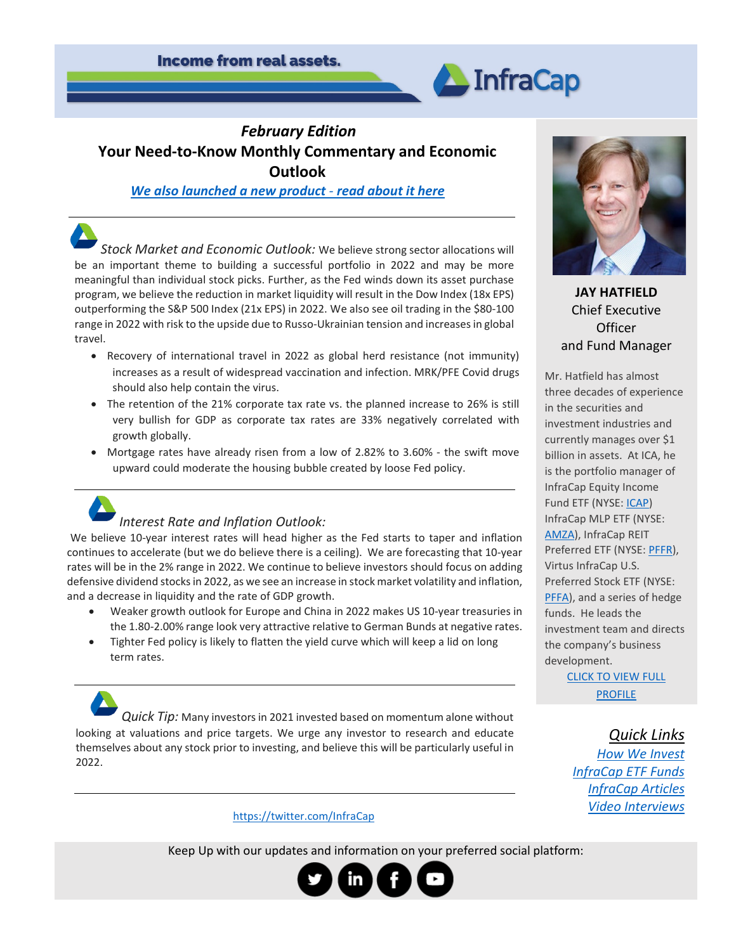**Income from real assets.** 



## *February Edition* **Your Need-to-Know Monthly Commentary and Economic Outlook**

*[We also launched a new product](https://www.businesswire.com/news/home/20211229005252/en/Infrastructure-Capital-Advisors-Launches-ICAP-New-Actively-Managed-Equity-Income-ETF) - read about it here* 

*Stock Market and Economic Outlook:* We believe strong sector allocations will be an important theme to building a successful portfolio in 2022 and may be more meaningful than individual stock picks. Further, as the Fed winds down its asset purchase program, we believe the reduction in market liquidity will result in the Dow Index (18x EPS) outperforming the S&P 500 Index (21x EPS) in 2022. We also see oil trading in the \$80-100 range in 2022 with risk to the upside due to Russo-Ukrainian tension and increases in global travel.

- Recovery of international travel in 2022 as global herd resistance (not immunity) increases as a result of widespread vaccination and infection. MRK/PFE Covid drugs should also help contain the virus.
- The retention of the 21% corporate tax rate vs. the planned increase to 26% is still very bullish for GDP as corporate tax rates are 33% negatively correlated with growth globally.
- Mortgage rates have already risen from a low of 2.82% to 3.60% the swift move upward could moderate the housing bubble created by loose Fed policy.

# *Interest Rate and Inflation Outlook:*

À

We believe 10-year interest rates will head higher as the Fed starts to taper and inflation continues to accelerate (but we do believe there is a ceiling). We are forecasting that 10-year rates will be in the 2% range in 2022. We continue to believe investors should focus on adding defensive dividend stocksin 2022, as we see an increase in stock market volatility and inflation, and a decrease in liquidity and the rate of GDP growth.

- Weaker growth outlook for Europe and China in 2022 makes US 10-year treasuries in the 1.80-2.00% range look very attractive relative to German Bunds at negative rates.
- Tighter Fed policy is likely to flatten the yield curve which will keep a lid on long term rates.

*Quick Tip:* Many investors in 2021 invested based on momentum alone without looking at valuations and price targets. We urge any investor to research and educate themselves about any stock prior to investing, and believe this will be particularly useful in 2022.

<https://twitter.com/InfraCap>

Keep Up with our updates and information on your preferred social platform:





**JAY HATFIELD** Chief Executive **Officer** and Fund Manager

Mr. Hatfield has almost three decades of experience in the securities and investment industries and currently manages over \$1 billion in assets. At ICA, he is the portfolio manager of InfraCap Equity Income Fund ETF (NYSE[: ICAP\)](http://www.infracapequityincomefundetf.com./) InfraCap MLP ETF (NYSE: [AMZA\)](https://www.virtus.com/products/infracap-mlp-etf#shareclass.618/period.quarterly), InfraCap REIT Preferred ETF (NYSE: [PFFR\)](https://www.virtus.com/products/infracap-reit-preferred-etf#shareclass.621/period.quarterly), Virtus InfraCap U.S. Preferred Stock ETF (NYSE: [PFFA\)](https://www.virtus.com/products/virtus-infracap-us-preferred-stock-etf#shareclass.742/period.quarterly), and a series of hedge funds. He leads the investment team and directs the company's business development.

> [CLICK TO VIEW FULL](https://820dcb37-03f0-415e-8d1b-b14b49aab625.filesusr.com/ugd/2bd3c1_3ce78bdb8052484fa1b8bbcd0a9cef87.pdf)  **[PROFILE](https://820dcb37-03f0-415e-8d1b-b14b49aab625.filesusr.com/ugd/2bd3c1_3ce78bdb8052484fa1b8bbcd0a9cef87.pdf)**

*Quick Links [How We Invest](https://www.infracapfunds.com/how-we-invest) [InfraCap ETF Funds](https://www.infracapfunds.com/funds) [InfraCap Articles](https://www.infracapfunds.com/blog) [Video Interviews](https://www.infracapfunds.com/videos)*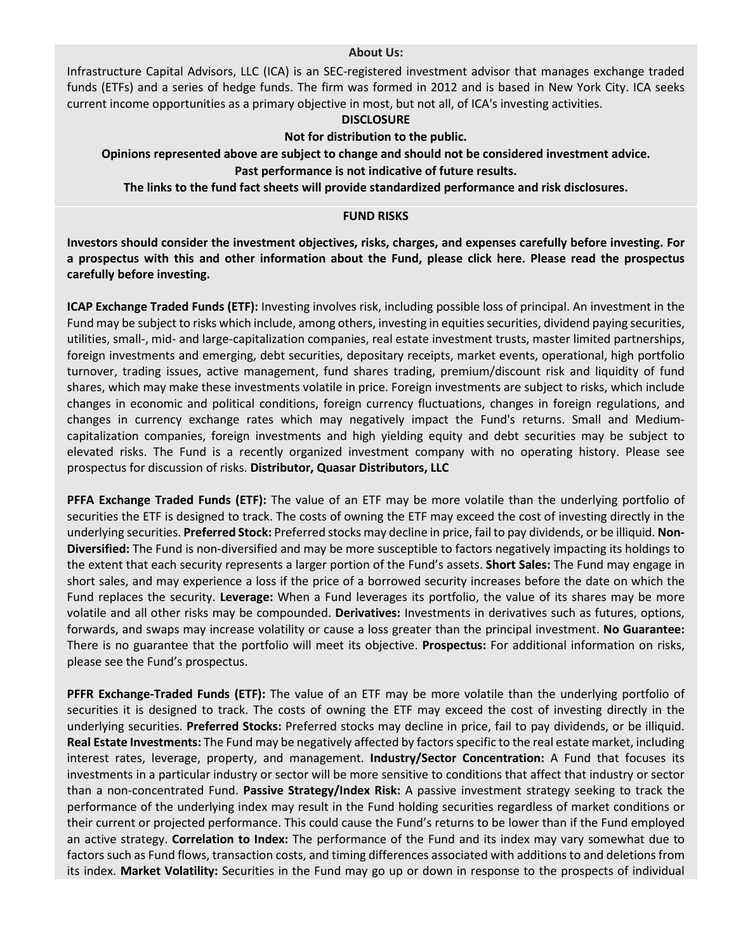#### **About Us:**

Infrastructure Capital Advisors, LLC (ICA) is an SEC-registered investment advisor that manages exchange traded funds (ETFs) and a series of hedge funds. The firm was formed in 2012 and is based in New York City. ICA seeks current income opportunities as a primary objective in most, but not all, of ICA's investing activities.

#### **DISCLOSURE**

#### **Not for distribution to the public.**

### **Opinions represented above are subject to change and should not be considered investment advice. Past performance is not indicative of future results.**

**The links to the fund fact sheets will provide standardized performance and risk disclosures.**

#### **FUND RISKS**

**Investors should consider the investment objectives, risks, charges, and expenses carefully before investing. For a prospectus with this and other information about the Fund, please click here. Please read the prospectus carefully before investing.**

**ICAP Exchange Traded Funds (ETF):** Investing involves risk, including possible loss of principal. An investment in the Fund may be subject to risks which include, among others, investing in equities securities, dividend paying securities, utilities, small-, mid- and large-capitalization companies, real estate investment trusts, master limited partnerships, foreign investments and emerging, debt securities, depositary receipts, market events, operational, high portfolio turnover, trading issues, active management, fund shares trading, premium/discount risk and liquidity of fund shares, which may make these investments volatile in price. Foreign investments are subject to risks, which include changes in economic and political conditions, foreign currency fluctuations, changes in foreign regulations, and changes in currency exchange rates which may negatively impact the Fund's returns. Small and Mediumcapitalization companies, foreign investments and high yielding equity and debt securities may be subject to elevated risks. The Fund is a recently organized investment company with no operating history. Please see prospectus for discussion of risks. **Distributor, Quasar Distributors, LLC**

**PFFA Exchange Traded Funds (ETF):** The value of an ETF may be more volatile than the underlying portfolio of securities the ETF is designed to track. The costs of owning the ETF may exceed the cost of investing directly in the underlying securities. **Preferred Stock:** Preferred stocks may decline in price, fail to pay dividends, or be illiquid. **Non-Diversified:** The Fund is non-diversified and may be more susceptible to factors negatively impacting its holdings to the extent that each security represents a larger portion of the Fund's assets. **Short Sales:** The Fund may engage in short sales, and may experience a loss if the price of a borrowed security increases before the date on which the Fund replaces the security. **Leverage:** When a Fund leverages its portfolio, the value of its shares may be more volatile and all other risks may be compounded. **Derivatives:** Investments in derivatives such as futures, options, forwards, and swaps may increase volatility or cause a loss greater than the principal investment. **No Guarantee:**  There is no guarantee that the portfolio will meet its objective. **Prospectus:** For additional information on risks, please see the Fund's prospectus.

**PFFR Exchange-Traded Funds (ETF):** The value of an ETF may be more volatile than the underlying portfolio of securities it is designed to track. The costs of owning the ETF may exceed the cost of investing directly in the underlying securities. **Preferred Stocks:** Preferred stocks may decline in price, fail to pay dividends, or be illiquid. **Real Estate Investments:** The Fund may be negatively affected by factors specific to the real estate market, including interest rates, leverage, property, and management. **Industry/Sector Concentration:** A Fund that focuses its investments in a particular industry or sector will be more sensitive to conditions that affect that industry or sector than a non-concentrated Fund. **Passive Strategy/Index Risk:** A passive investment strategy seeking to track the performance of the underlying index may result in the Fund holding securities regardless of market conditions or their current or projected performance. This could cause the Fund's returns to be lower than if the Fund employed an active strategy. **Correlation to Index:** The performance of the Fund and its index may vary somewhat due to factors such as Fund flows, transaction costs, and timing differences associated with additions to and deletions from its index. **Market Volatility:** Securities in the Fund may go up or down in response to the prospects of individual